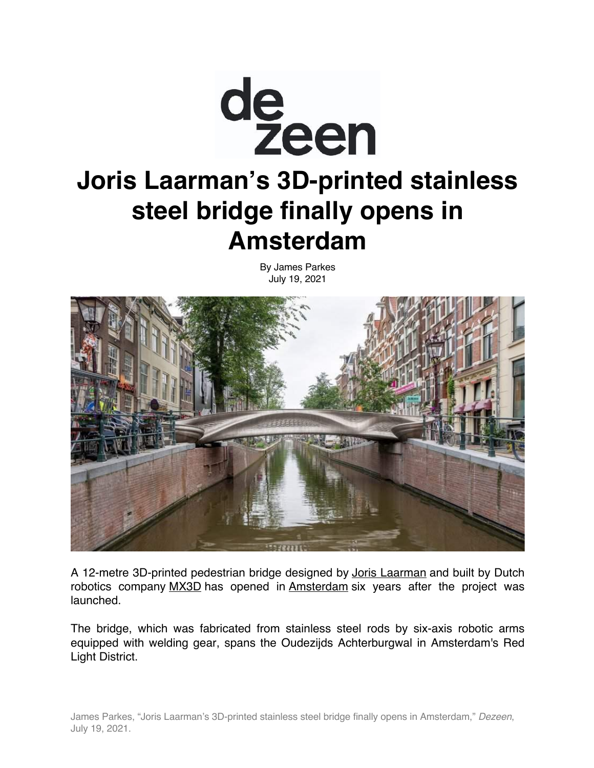

## **Joris Laarman's 3D-printed stainless steel bridge finally opens in Amsterdam**

By James Parkes July 19, 2021



A 12-metre 3D-printed pedestrian bridge designed by Joris Laarman and built by Dutch robotics company MX3D has opened in Amsterdam six years after the project was launched.

The bridge, which was fabricated from stainless steel rods by six-axis robotic arms equipped with welding gear, spans the Oudezijds Achterburgwal in Amsterdam's Red Light District.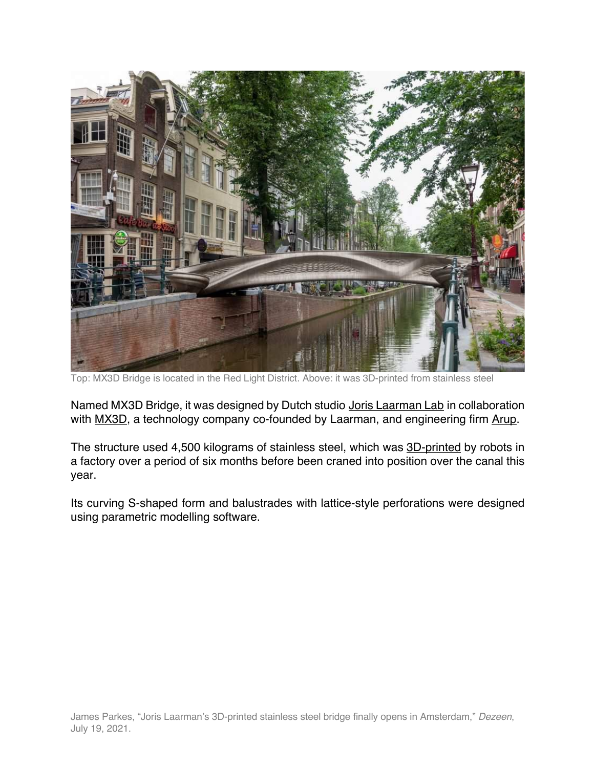

Top: MX3D Bridge is located in the Red Light District. Above: it was 3D-printed from stainless steel

Named MX3D Bridge, it was designed by Dutch studio Joris Laarman Lab in collaboration with MX3D, a technology company co-founded by Laarman, and engineering firm Arup.

The structure used 4,500 kilograms of stainless steel, which was 3D-printed by robots in a factory over a period of six months before been craned into position over the canal this year.

Its curving S-shaped form and balustrades with lattice-style perforations were designed using parametric modelling software.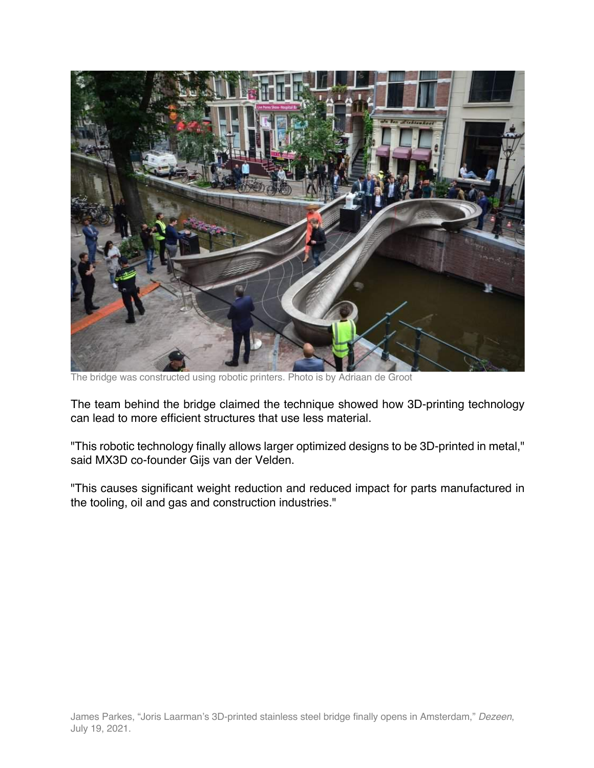

The bridge was constructed using robotic printers. Photo is by Adriaan de Groot

The team behind the bridge claimed the technique showed how 3D-printing technology can lead to more efficient structures that use less material.

"This robotic technology finally allows larger optimized designs to be 3D-printed in metal," said MX3D co-founder Gijs van der Velden.

"This causes significant weight reduction and reduced impact for parts manufactured in the tooling, oil and gas and construction industries."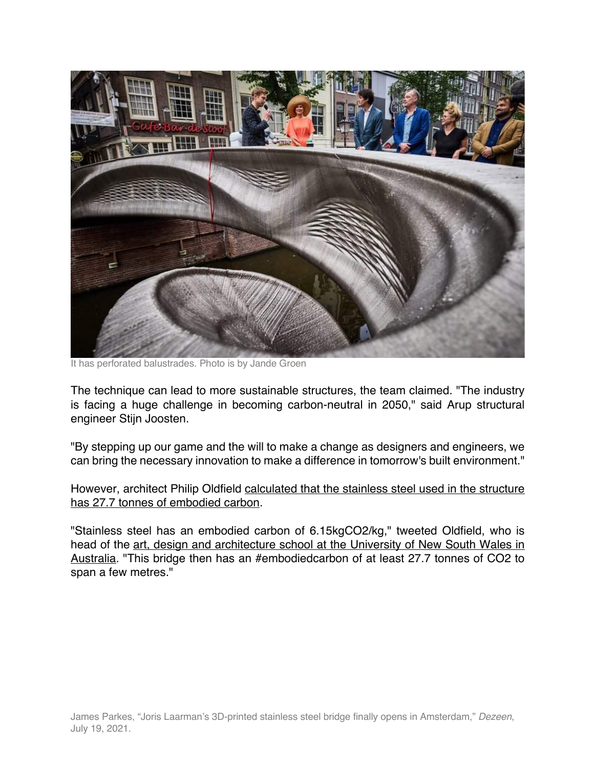

It has perforated balustrades. Photo is by Jande Groen

The technique can lead to more sustainable structures, the team claimed. "The industry is facing a huge challenge in becoming carbon-neutral in 2050," said Arup structural engineer Stijn Joosten.

"By stepping up our game and the will to make a change as designers and engineers, we can bring the necessary innovation to make a difference in tomorrow's built environment."

However, architect Philip Oldfield calculated that the stainless steel used in the structure has 27.7 tonnes of embodied carbon.

"Stainless steel has an embodied carbon of 6.15kgCO2/kg," tweeted Oldfield, who is head of the art, design and architecture school at the University of New South Wales in Australia. "This bridge then has an #embodiedcarbon of at least 27.7 tonnes of CO2 to span a few metres."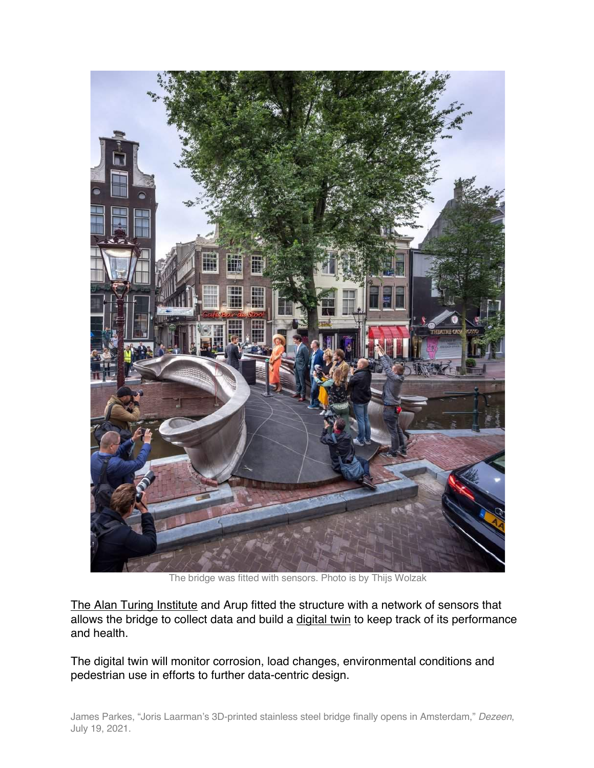

The bridge was fitted with sensors. Photo is by Thijs Wolzak

The Alan Turing Institute and Arup fitted the structure with a network of sensors that allows the bridge to collect data and build a digital twin to keep track of its performance and health.

The digital twin will monitor corrosion, load changes, environmental conditions and pedestrian use in efforts to further data-centric design.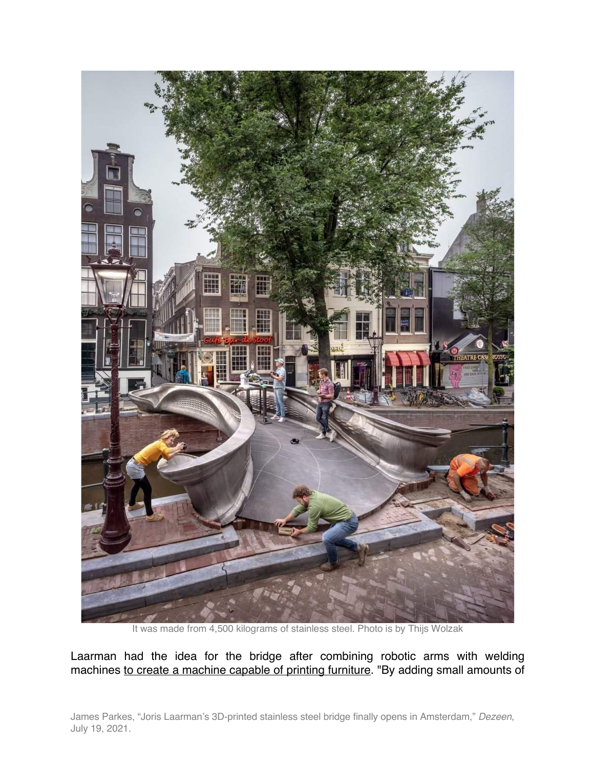

It was made from 4,500 kilograms of stainless steel. Photo is by Thijs Wolzak

Laarman had the idea for the bridge after combining robotic arms with welding machines to create a machine capable of printing furniture. "By adding small amounts of